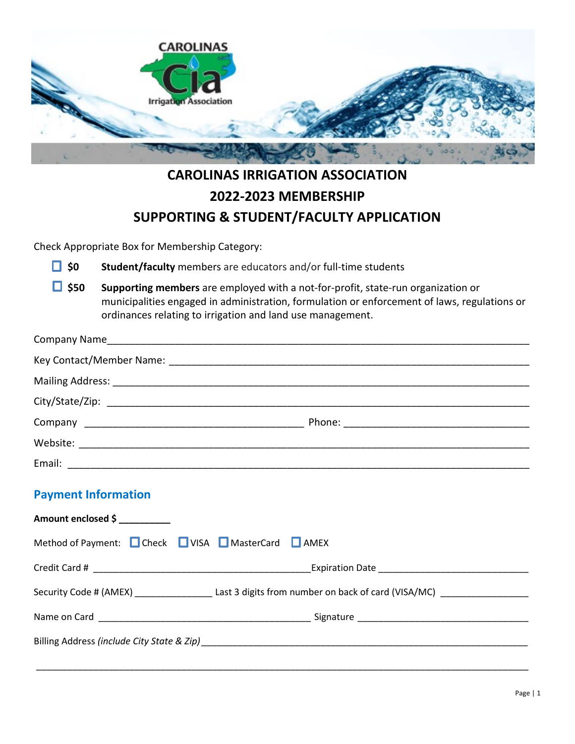

## **CAROLINAS IRRIGATION ASSOCIATION 2022-2023 MEMBERSHIP SUPPORTING & STUDENT/FACULTY APPLICATION**

Check Appropriate Box for Membership Category:

 $\Box$  \$0 Student/faculty members are educators and/or full-time students

**\$50 Supporting members** are employed with a not-for-profit, state-run organization or municipalities engaged in administration, formulation or enforcement of laws, regulations or ordinances relating to irrigation and land use management.

| Email: |  |
|--------|--|

## **Payment Information**

| Amount enclosed \$                                                                                                                                                                                                             |                                                                            |  |
|--------------------------------------------------------------------------------------------------------------------------------------------------------------------------------------------------------------------------------|----------------------------------------------------------------------------|--|
| Method of Payment: C Check C VISA C MasterCard C AMEX                                                                                                                                                                          |                                                                            |  |
|                                                                                                                                                                                                                                |                                                                            |  |
|                                                                                                                                                                                                                                | Security Code # (AMEX) Last 3 digits from number on back of card (VISA/MC) |  |
|                                                                                                                                                                                                                                |                                                                            |  |
| Billing Address (include City State & Zip) example and the contract of the contract of the contract of the contract of the contract of the contract of the contract of the contract of the contract of the contract of the con |                                                                            |  |
|                                                                                                                                                                                                                                |                                                                            |  |